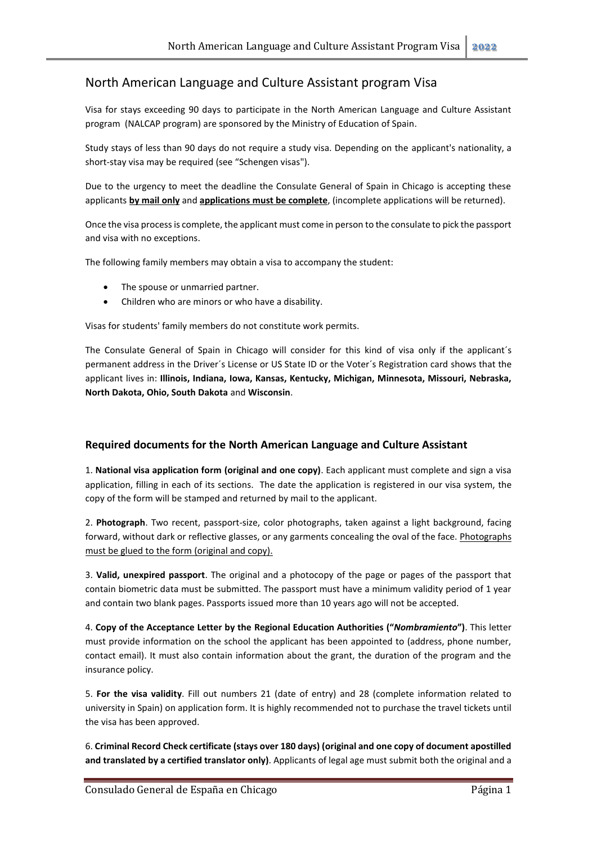## North American Language and Culture Assistant program Visa

Visa for stays exceeding 90 days to participate in the North American Language and Culture Assistant program (NALCAP program) are sponsored by the Ministry of Education of Spain.

Study stays of less than 90 days do not require a study visa. Depending on the applicant's nationality, a short-stay visa may be required (see "Schengen visas").

Due to the urgency to meet the deadline the Consulate General of Spain in Chicago is accepting these applicants **by mail only** and **applications must be complete**, (incomplete applications will be returned).

Once the visa process is complete, the applicant must come in person to the consulate to pick the passport and visa with no exceptions.

The following family members may obtain a visa to accompany the student:

- The spouse or unmarried partner.
- Children who are minors or who have a disability.

Visas for students' family members do not constitute work permits.

The Consulate General of Spain in Chicago will consider for this kind of visa only if the applicant´s permanent address in the Driver´s License or US State ID or the Voter´s Registration card shows that the applicant lives in: **Illinois, Indiana, Iowa, Kansas, Kentucky, Michigan, Minnesota, Missouri, Nebraska, North Dakota, Ohio, South Dakota** and **Wisconsin**.

## **Required documents for the North American Language and Culture Assistant**

1. **National visa application form (original and one copy)**. Each applicant must complete and sign a visa application, filling in each of its sections. The date the application is registered in our visa system, the copy of the form will be stamped and returned by mail to the applicant.

2. **Photograph**. Two recent, passport-size, color photographs, taken against a light background, facing forward, without dark or reflective glasses, or any garments concealing the oval of the face. Photographs must be glued to the form (original and copy).

3. **Valid, unexpired passport**. The original and a photocopy of the page or pages of the passport that contain biometric data must be submitted. The passport must have a minimum validity period of 1 year and contain two blank pages. Passports issued more than 10 years ago will not be accepted.

4. **Copy of the Acceptance Letter by the Regional Education Authorities ("***Nombramiento***")**. This letter must provide information on the school the applicant has been appointed to (address, phone number, contact email). It must also contain information about the grant, the duration of the program and the insurance policy.

5. **For the visa validity**. Fill out numbers 21 (date of entry) and 28 (complete information related to university in Spain) on application form. It is highly recommended not to purchase the travel tickets until the visa has been approved.

6. **Criminal Record Check certificate (stays over 180 days) (original and one copy of document apostilled and translated by a certified translator only)**. Applicants of legal age must submit both the original and a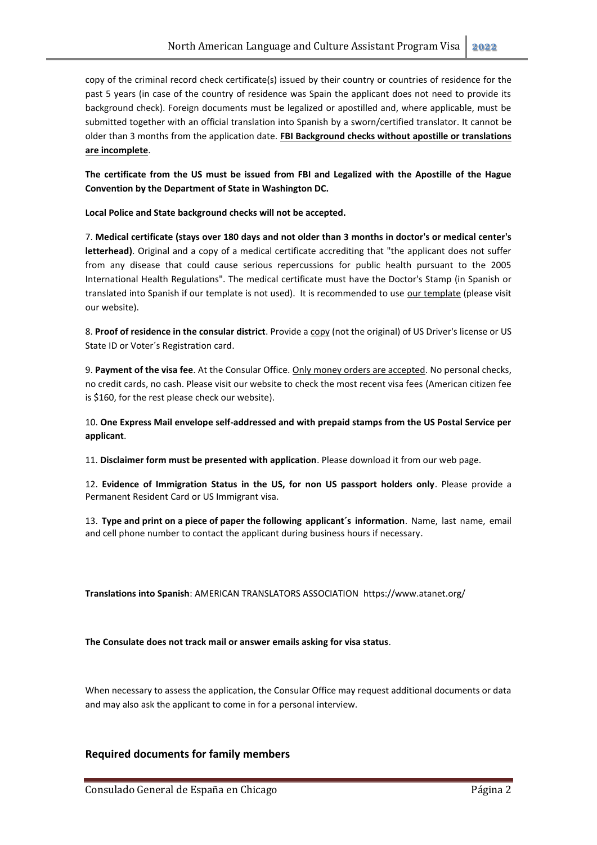copy of the criminal record check certificate(s) issued by their country or countries of residence for the past 5 years (in case of the country of residence was Spain the applicant does not need to provide its background check). Foreign documents must be legalized or apostilled and, where applicable, must be submitted together with an official translation into Spanish by a sworn/certified translator. It cannot be older than 3 months from the application date. **FBI Background checks without apostille or translations are incomplete**.

**The certificate from the US must be issued from FBI and Legalized with the Apostille of the Hague Convention by the Department of State in Washington DC.**

**Local Police and State background checks will not be accepted.** 

7. **Medical certificate (stays over 180 days and not older than 3 months in doctor's or medical center's letterhead)**. Original and a copy of a medical certificate accrediting that "the applicant does not suffer from any disease that could cause serious repercussions for public health pursuant to the 2005 International Health Regulations". The medical certificate must have the Doctor's Stamp (in Spanish or translated into Spanish if our template is not used). It is recommended to use our template (please visit our website).

8. **Proof of residence in the consular district**. Provide a copy (not the original) of US Driver's license or US State ID or Voter´s Registration card.

9. **Payment of the visa fee**. At the Consular Office. Only money orders are accepted. No personal checks, no credit cards, no cash. Please visit our website to check the most recent visa fees (American citizen fee is \$160, for the rest please check our website).

10. **One Express Mail envelope self-addressed and with prepaid stamps from the US Postal Service per applicant**.

11. **Disclaimer form must be presented with application**. Please download it from our web page.

12. **Evidence of Immigration Status in the US, for non US passport holders only**. Please provide a Permanent Resident Card or US Immigrant visa.

13. **Type and print on a piece of paper the following applicant´s information**. Name, last name, email and cell phone number to contact the applicant during business hours if necessary.

**Translations into Spanish**: AMERICAN TRANSLATORS ASSOCIATION https://www.atanet.org/

**The Consulate does not track mail or answer emails asking for visa status**.

When necessary to assess the application, the Consular Office may request additional documents or data and may also ask the applicant to come in for a personal interview.

## **Required documents for family members**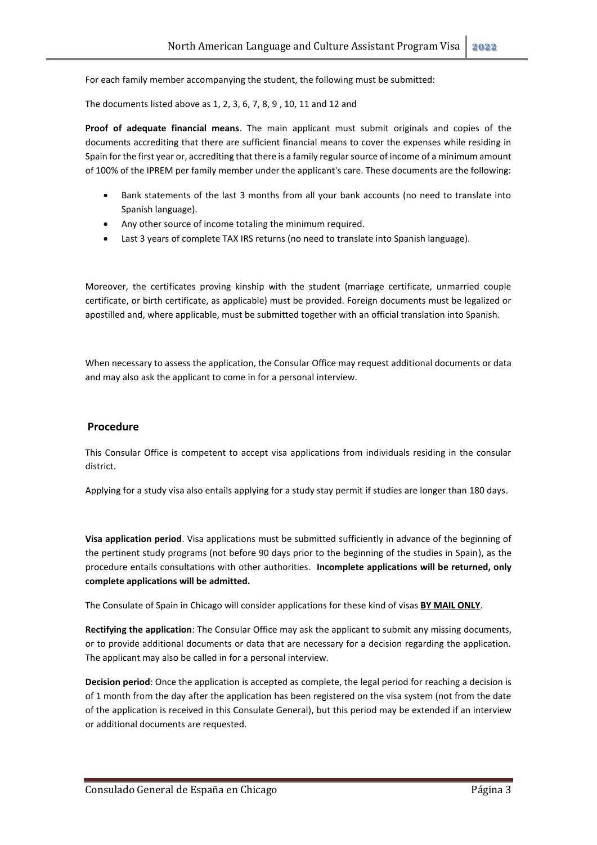For each family member accompanying the student, the following must be submitted:

The documents listed above as 1, 2, 3, 6, 7, 8, 9 , 10, 11 and 12 and

**Proof of adequate financial means**. The main applicant must submit originals and copies of the documents accrediting that there are sufficient financial means to cover the expenses while residing in Spain for the first year or, accrediting that there is a family regular source of income of a minimum amount of 100% of the IPREM per family member under the applicant's care. These documents are the following:

- Bank statements of the last 3 months from all your bank accounts (no need to translate into Spanish language).
- Any other source of income totaling the minimum required.
- Last 3 years of complete TAX IRS returns (no need to translate into Spanish language).

Moreover, the certificates proving kinship with the student (marriage certificate, unmarried couple certificate, or birth certificate, as applicable) must be provided. Foreign documents must be legalized or apostilled and, where applicable, must be submitted together with an official translation into Spanish.

When necessary to assess the application, the Consular Office may request additional documents or data and may also ask the applicant to come in for a personal interview.

## **Procedure**

This Consular Office is competent to accept visa applications from individuals residing in the consular district.

Applying for a study visa also entails applying for a study stay permit if studies are longer than 180 days.

**Visa application period**. Visa applications must be submitted sufficiently in advance of the beginning of the pertinent study programs (not before 90 days prior to the beginning of the studies in Spain), as the procedure entails consultations with other authorities. **Incomplete applications will be returned, only complete applications will be admitted.**

The Consulate of Spain in Chicago will consider applications for these kind of visas **BY MAIL ONLY**.

**Rectifying the application**: The Consular Office may ask the applicant to submit any missing documents, or to provide additional documents or data that are necessary for a decision regarding the application. The applicant may also be called in for a personal interview.

**Decision period**: Once the application is accepted as complete, the legal period for reaching a decision is of 1 month from the day after the application has been registered on the visa system (not from the date of the application is received in this Consulate General), but this period may be extended if an interview or additional documents are requested.